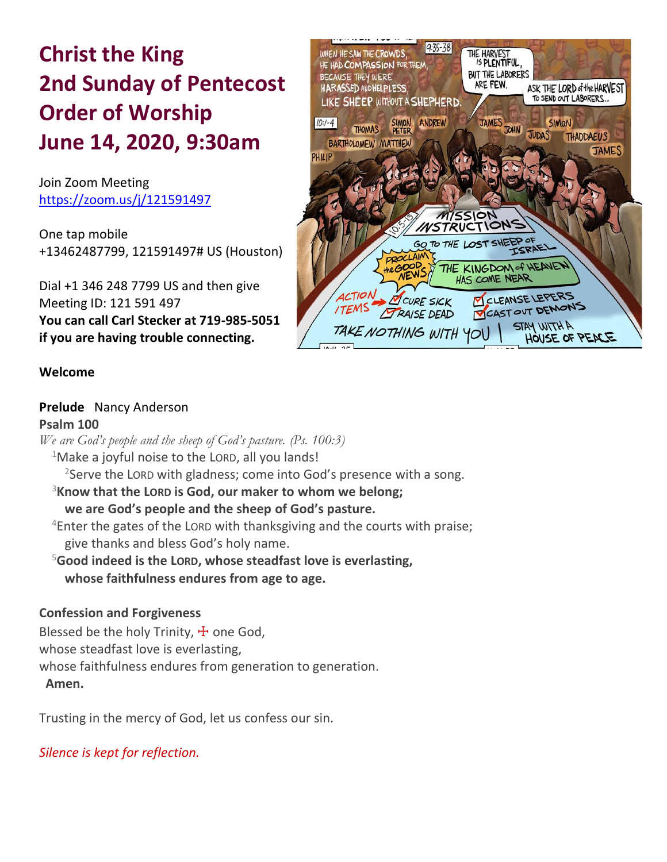# **Christ the King 2nd Sunday of Pentecost Order of Worship June 14, 2020, 9:30am**

Join Zoom Meeting https://zoom.us/j/121591497

One tap mobile +13462487799, 121591497# US (Houston)

Dial +1 346 248 7799 US and then give Meeting ID: 121 591 497 **You can call Carl Stecker at 719-985-5051 if you are having trouble connecting.**



### **Welcome**

#### **Prelude** Nancy Anderson **Psalm 100**

*We are God's people and the sheep of God's pasture. (Ps. 100:3)*  $1$ Make a joyful noise to the LORD, all you lands!  $2$ Serve the LORD with gladness; come into God's presence with a song. <sup>3</sup>**Know that the LORD is God, our maker to whom we belong; we are God's people and the sheep of God's pasture.**  $4$ Enter the gates of the LORD with thanksgiving and the courts with praise; give thanks and bless God's holy name. <sup>5</sup>**Good indeed is the LORD, whose steadfast love is everlasting, whose faithfulness endures from age to age. Confession and Forgiveness**

### Blessed be the holy Trinity,  $\pm$  one God, whose steadfast love is everlasting, whose faithfulness endures from generation to generation. **Amen.**

Trusting in the mercy of God, let us confess our sin.

*Silence is kept for reflection.*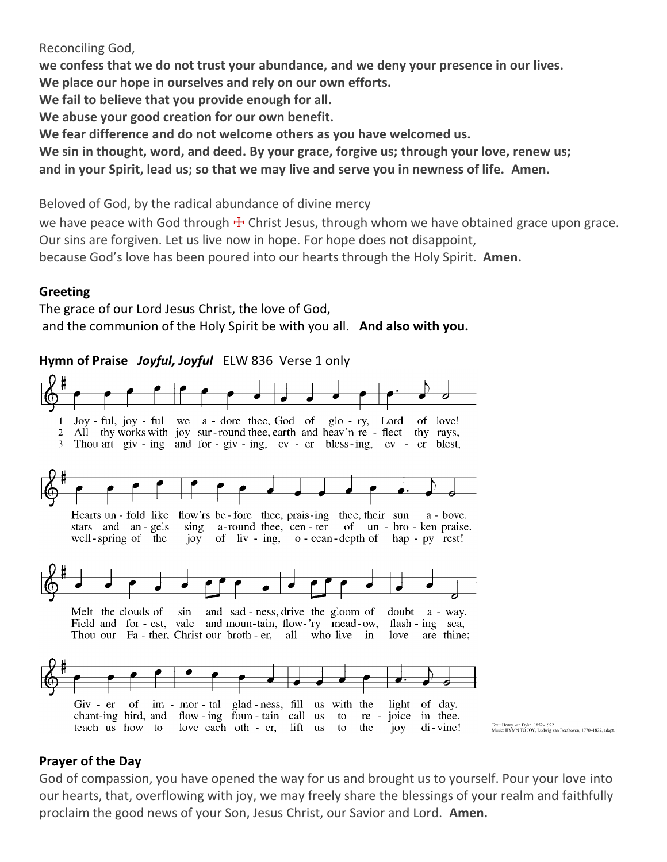### Reconciling God,

**we confess that we do not trust your abundance, and we deny your presence in our lives. We place our hope in ourselves and rely on our own efforts. We fail to believe that you provide enough for all. We abuse your good creation for our own benefit. We fear difference and do not welcome others as you have welcomed us. We sin in thought, word, and deed. By your grace, forgive us; through your love, renew us;**

**and in your Spirit, lead us; so that we may live and serve you in newness of life. Amen.**

Beloved of God, by the radical abundance of divine mercy

we have peace with God through  $\pm$  Christ Jesus, through whom we have obtained grace upon grace. Our sins are forgiven. Let us live now in hope. For hope does not disappoint,

because God's love has been poured into our hearts through the Holy Spirit. **Amen.**

### **Greeting**

The grace of our Lord Jesus Christ, the love of God, and the communion of the Holy Spirit be with you all. **And also with you.**

### **Hymn of Praise** *Joyful, Joyful* ELW 836 Verse 1 only



### **Prayer of the Day**

God of compassion, you have opened the way for us and brought us to yourself. Pour your love into our hearts, that, overflowing with joy, we may freely share the blessings of your realm and faithfully proclaim the good news of your Son, Jesus Christ, our Savior and Lord. **Amen.**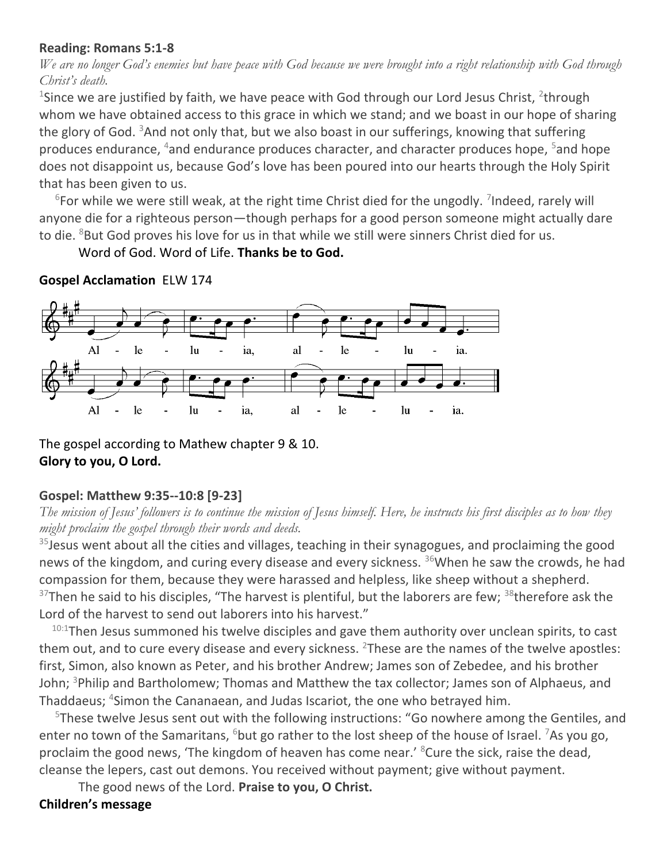### **Reading: Romans 5:1-8**

*We are no longer God's enemies but have peace with God because we were brought into a right relationship with God through Christ's death.*

<sup>1</sup>Since we are justified by faith, we have peace with God through our Lord Jesus Christ, <sup>2</sup>through whom we have obtained access to this grace in which we stand; and we boast in our hope of sharing the glory of God.  $3$ And not only that, but we also boast in our sufferings, knowing that suffering produces endurance,  $4$  and endurance produces character, and character produces hope,  $5$  and hope does not disappoint us, because God's love has been poured into our hearts through the Holy Spirit that has been given to us.

 $6$ For while we were still weak, at the right time Christ died for the ungodly. <sup>7</sup>Indeed, rarely will anyone die for a righteous person—though perhaps for a good person someone might actually dare to die. <sup>8</sup>But God proves his love for us in that while we still were sinners Christ died for us.

Word of God. Word of Life. **Thanks be to God.**



**Gospel Acclamation** ELW 174

The gospel according to Mathew chapter 9 & 10. **Glory to you, O Lord.**

### **Gospel: Matthew 9:35--10:8 [9-23]**

*The mission of Jesus' followers is to continue the mission of Jesus himself. Here, he instructs his first disciples as to how they might proclaim the gospel through their words and deeds.*

 $35$  Jesus went about all the cities and villages, teaching in their synagogues, and proclaiming the good news of the kingdom, and curing every disease and every sickness. <sup>36</sup>When he saw the crowds, he had compassion for them, because they were harassed and helpless, like sheep without a shepherd.  $37$ Then he said to his disciples, "The harvest is plentiful, but the laborers are few;  $38$ therefore ask the Lord of the harvest to send out laborers into his harvest."

 $10:1$ Then Jesus summoned his twelve disciples and gave them authority over unclean spirits, to cast them out, and to cure every disease and every sickness.  $2\text{These}$  are the names of the twelve apostles: first, Simon, also known as Peter, and his brother Andrew; James son of Zebedee, and his brother John; <sup>3</sup>Philip and Bartholomew; Thomas and Matthew the tax collector; James son of Alphaeus, and Thaddaeus; <sup>4</sup>Simon the Cananaean, and Judas Iscariot, the one who betrayed him.

<sup>5</sup>These twelve Jesus sent out with the following instructions: "Go nowhere among the Gentiles, and enter no town of the Samaritans,  $6$ but go rather to the lost sheep of the house of Israel. <sup>7</sup>As you go, proclaim the good news, 'The kingdom of heaven has come near.' <sup>8</sup>Cure the sick, raise the dead, cleanse the lepers, cast out demons. You received without payment; give without payment.

The good news of the Lord. **Praise to you, O Christ. Children's message**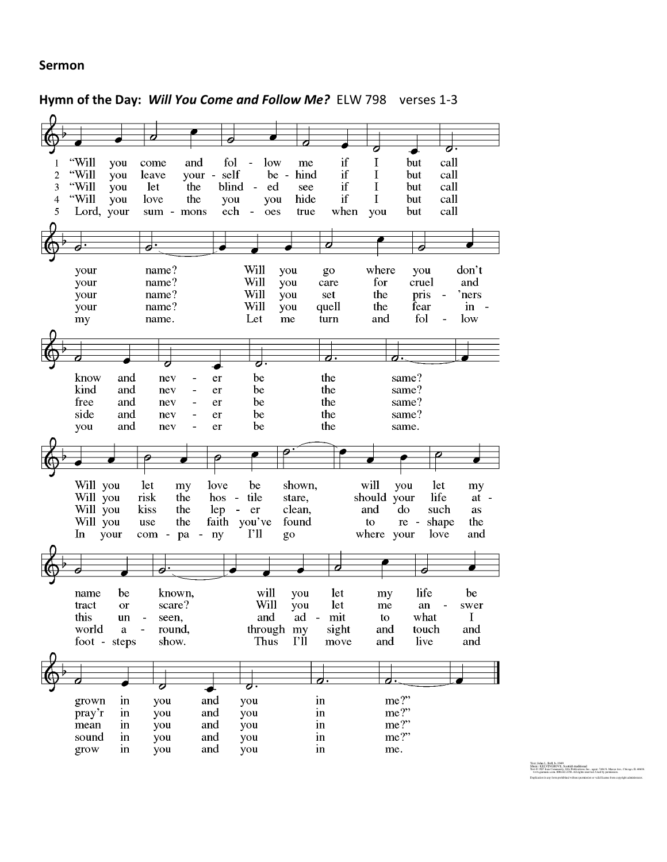### **Sermon**

# **Hymn of the Day:** *Will You Come and Follow Me?* ELW 798 verses 1-3

|                |               |              | 7          |                                    |                                  |                                |                        |                       |             |                    |                                 |
|----------------|---------------|--------------|------------|------------------------------------|----------------------------------|--------------------------------|------------------------|-----------------------|-------------|--------------------|---------------------------------|
|                |               |              |            |                                    | Θ                                |                                |                        |                       | O           |                    | o.                              |
|                | "Will         |              |            |                                    |                                  |                                |                        | if                    |             |                    |                                 |
|                |               | you          | come       | and                                | fol                              | low                            | me                     |                       | I           | but                | call                            |
| $\overline{c}$ | "Will         | you          | leave      | your                               | self<br>$\overline{\phantom{a}}$ |                                | hind<br>$be -$         | if                    | I           | but                | call                            |
| 3              | "Will         | you          | let        | the                                | blind                            | ed<br>$\overline{\phantom{a}}$ | see                    | if                    | I           | but                | call                            |
| $\overline{4}$ | "Will         | you          | love       | the                                | you                              | you                            | hide                   | if                    | $\bf{I}$    | but                | call                            |
| 5              | Lord, your    |              |            | sum - mons                         | ech                              | oes                            | true                   | when                  | you         | but                | call                            |
|                |               |              |            |                                    |                                  |                                |                        |                       |             |                    |                                 |
|                |               |              |            |                                    |                                  |                                |                        |                       |             |                    |                                 |
|                |               |              |            |                                    |                                  |                                |                        | O                     |             | 0                  |                                 |
|                |               |              |            |                                    |                                  |                                |                        |                       |             |                    |                                 |
|                | your          |              | name?      |                                    |                                  | Will                           | you                    | go                    | where       | you                | don't                           |
|                | your          |              | name?      |                                    |                                  | Will                           | you                    | care                  | for         | cruel              | and                             |
|                | your          |              | name?      |                                    |                                  | Will                           | you                    | set                   | the         | pris               | 'ners                           |
|                | your          |              | name?      |                                    |                                  | Will                           | you                    | quell                 | the         | fear               | in                              |
|                | my            |              | name.      |                                    |                                  | Let                            | me                     | turn                  | and         | fol                | low<br>$\overline{\phantom{0}}$ |
|                |               |              |            |                                    |                                  |                                |                        |                       |             |                    |                                 |
|                |               |              |            |                                    |                                  |                                |                        |                       |             |                    |                                 |
|                |               |              |            |                                    |                                  |                                |                        |                       |             |                    |                                 |
|                |               |              | O          |                                    |                                  | ठः                             |                        | $\sigma \cdot$        |             |                    |                                 |
|                | know          | and          | nev        |                                    | er                               | be                             |                        | the                   |             | same?              |                                 |
|                | kind          | and          | nev        |                                    | er                               | be                             |                        | the                   |             | same?              |                                 |
|                | free          |              |            |                                    |                                  | be                             |                        | the                   |             |                    |                                 |
|                |               | and          | nev        |                                    | er                               |                                |                        |                       |             | same?              |                                 |
|                | side          | and          | nev        |                                    | er                               | be                             |                        | the                   |             | same?              |                                 |
|                | you           | and          | nev        |                                    | er                               | be                             |                        | the                   |             | same.              |                                 |
|                |               |              |            |                                    |                                  |                                |                        |                       |             |                    |                                 |
|                |               |              |            |                                    |                                  |                                |                        |                       |             |                    |                                 |
|                |               |              |            |                                    |                                  |                                |                        |                       |             |                    |                                 |
|                |               |              |            |                                    | Θ                                |                                |                        |                       |             |                    |                                 |
|                |               |              |            |                                    |                                  |                                |                        |                       |             |                    |                                 |
|                | Will you      |              | let        | my                                 | love                             | be                             | shown,                 |                       | will        | let<br>you         | my                              |
|                | Will you      |              | risk       | the                                | hos<br>$\overline{\phantom{a}}$  | tile                           | stare,                 |                       | should your | life               | $at -$                          |
|                | Will you      |              | kiss       | the                                | lep                              | $\blacksquare$<br>er           | clean,                 |                       | and         | do<br>such         | as                              |
|                | Will you      |              | use        | the                                | faith                            | you've                         | found                  |                       | to          | $\rm re$<br>$\sim$ | shape<br>the                    |
|                | In            | your         | com -      | pa<br>$\qquad \qquad \blacksquare$ | ny                               | $\Gamma$ ll                    | go                     |                       | where your  | love               | and                             |
|                |               |              |            |                                    |                                  |                                |                        |                       |             |                    |                                 |
|                |               |              |            |                                    |                                  |                                |                        |                       |             |                    |                                 |
|                |               |              | ø          |                                    |                                  |                                |                        |                       |             |                    |                                 |
|                |               |              |            |                                    |                                  |                                |                        |                       |             |                    |                                 |
|                | name          | be           |            | known,                             |                                  | will                           | you                    | let                   | my          | life               | be                              |
|                | tract         | <b>or</b>    |            | scare?                             |                                  | Will                           |                        |                       | me          | an                 | swer                            |
|                |               |              |            |                                    |                                  |                                | you                    | let<br>$\blacksquare$ |             |                    | I                               |
|                | this          | un           | seen,      |                                    |                                  | and                            | ad                     | mit                   | to          | what               |                                 |
|                | world         | $\mathbf{a}$ |            | round,                             |                                  |                                | through my             | sight                 | and         | touch              | and                             |
|                |               | foot - steps |            | show.                              |                                  | Thus                           | $\Gamma$ <sup>11</sup> | move                  | and         | live               | and                             |
|                |               |              |            |                                    |                                  |                                |                        |                       |             |                    |                                 |
|                |               |              |            |                                    |                                  |                                |                        |                       |             |                    |                                 |
|                |               |              | O          |                                    |                                  | σ.                             |                        | σ.                    | o.          |                    |                                 |
|                |               |              |            |                                    |                                  |                                |                        |                       |             |                    |                                 |
|                | grown         | in           | you        |                                    | and                              | you                            |                        | in                    | me?"        |                    |                                 |
|                | pray'r        | in           | you        |                                    | and                              | you                            |                        | in                    | me?"        |                    |                                 |
|                | mean          | in           | you        |                                    | and                              | you                            |                        | in                    | me?"        |                    |                                 |
|                | sound<br>grow | in<br>in     | you<br>you |                                    | and<br>and                       | you<br>you                     |                        | in<br>in              | me?"<br>me. |                    |                                 |

Text: John L. Bell, b. 1949<br>Music: KELVINGKOVE, Scottich traditional<br>Textor Gill William Common, S. M. Market, agent, 7404 S. Misco Ace., Cticago, IL 09635,<br>Textor Gill Misco Common, M. C. 3138, All egites asserved. Used b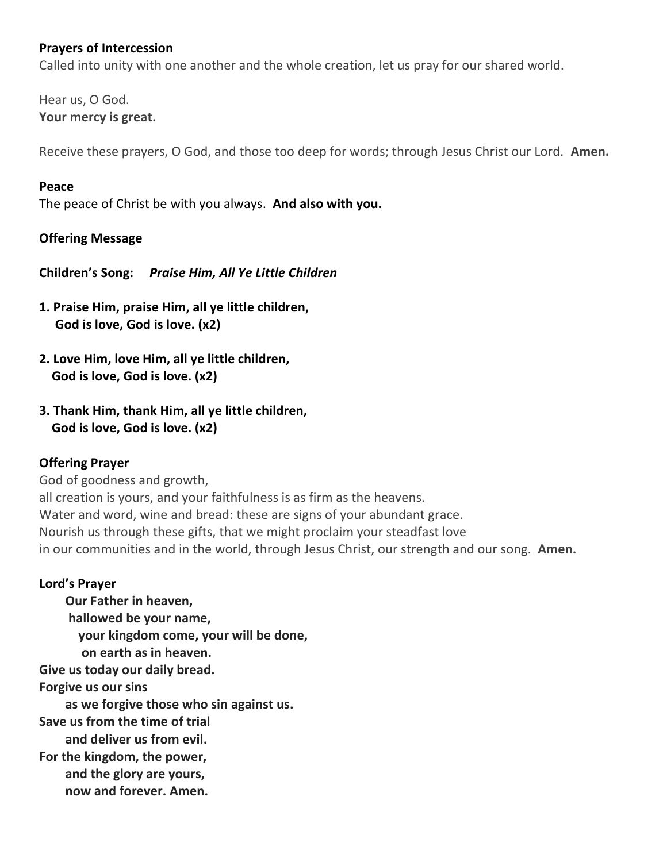### **Prayers of Intercession**

Called into unity with one another and the whole creation, let us pray for our shared world.

Hear us, O God. **Your mercy is great.**

Receive these prayers, O God, and those too deep for words; through Jesus Christ our Lord. **Amen.**

### **Peace**

The peace of Christ be with you always. **And also with you.**

### **Offering Message**

**Children's Song:** *Praise Him, All Ye Little Children* 

- **1. Praise Him, praise Him, all ye little children, God is love, God is love. (x2)**
- **2. Love Him, love Him, all ye little children, God is love, God is love. (x2)**
- **3. Thank Him, thank Him, all ye little children, God is love, God is love. (x2)**

### **Offering Prayer**

God of goodness and growth, all creation is yours, and your faithfulness is as firm as the heavens. Water and word, wine and bread: these are signs of your abundant grace. Nourish us through these gifts, that we might proclaim your steadfast love in our communities and in the world, through Jesus Christ, our strength and our song. **Amen.**

### **Lord's Prayer**

**Our Father in heaven, hallowed be your name, your kingdom come, your will be done, on earth as in heaven. Give us today our daily bread. Forgive us our sins as we forgive those who sin against us. Save us from the time of trial and deliver us from evil. For the kingdom, the power, and the glory are yours, now and forever. Amen.**